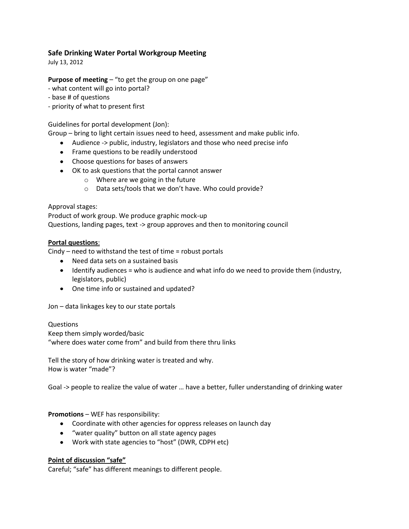# **Safe Drinking Water Portal Workgroup Meeting**

July 13, 2012

## **Purpose of meeting** – "to get the group on one page"

- what content will go into portal?
- base # of questions
- priority of what to present first

## Guidelines for portal development (Jon):

Group – bring to light certain issues need to heed, assessment and make public info.

- Audience -> public, industry, legislators and those who need precise info
- Frame questions to be readily understood
- Choose questions for bases of answers
- OK to ask questions that the portal cannot answer
	- o Where are we going in the future
	- o Data sets/tools that we don't have. Who could provide?

### Approval stages:

Product of work group. We produce graphic mock-up Questions, landing pages, text -> group approves and then to monitoring council

### **Portal questions**:

Cindy – need to withstand the test of time = robust portals

- Need data sets on a sustained basis
- Identify audiences = who is audience and what info do we need to provide them (industry, legislators, public)
- One time info or sustained and updated?

Jon – data linkages key to our state portals

### Questions Keep them simply worded/basic "where does water come from" and build from there thru links

Tell the story of how drinking water is treated and why. How is water "made"?

Goal -> people to realize the value of water … have a better, fuller understanding of drinking water

### **Promotions** – WEF has responsibility:

- Coordinate with other agencies for oppress releases on launch day
- "water quality" button on all state agency pages
- Work with state agencies to "host" (DWR, CDPH etc)

### **Point of discussion "safe"**

Careful; "safe" has different meanings to different people.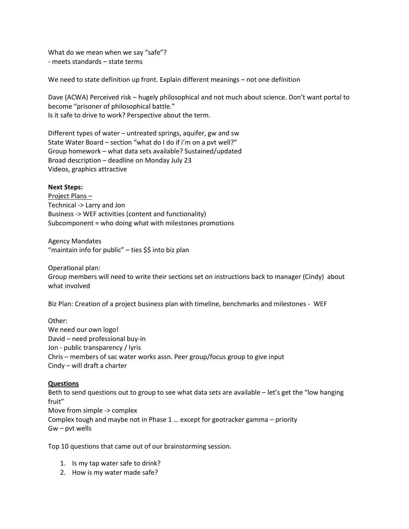What do we mean when we say "safe"? - meets standards – state terms

We need to state definition up front. Explain different meanings – not one definition

Dave (ACWA) Perceived risk – hugely philosophical and not much about science. Don't want portal to become "prisoner of philosophical battle." Is it safe to drive to work? Perspective about the term.

Different types of water – untreated springs, aquifer, gw and sw State Water Board – section "what do I do if i'm on a pvt well?" Group homework – what data sets available? Sustained/updated Broad description – deadline on Monday July 23 Videos, graphics attractive

#### **Next Steps:**

Project Plans – Technical -> Larry and Jon Business -> WEF activities (content and functionality) Subcomponent = who doing what with milestones promotions

Agency Mandates "maintain info for public" – ties \$\$ into biz plan

Operational plan: Group members will need to write their sections set on instructions back to manager (Cindy) about what involved

Biz Plan: Creation of a project business plan with timeline, benchmarks and milestones - WEF

Other: We need our own logo! David – need professional buy-in Jon - public transparency / lyris Chris – members of sac water works assn. Peer group/focus group to give input Cindy – will draft a charter

#### **Questions**

Beth to send questions out to group to see what data sets are available – let's get the "low hanging fruit" Move from simple -> complex Complex tough and maybe not in Phase 1 … except for geotracker gamma – priority Gw – pvt wells

Top 10 questions that came out of our brainstorming session.

- 1. Is my tap water safe to drink?
- 2. How is my water made safe?